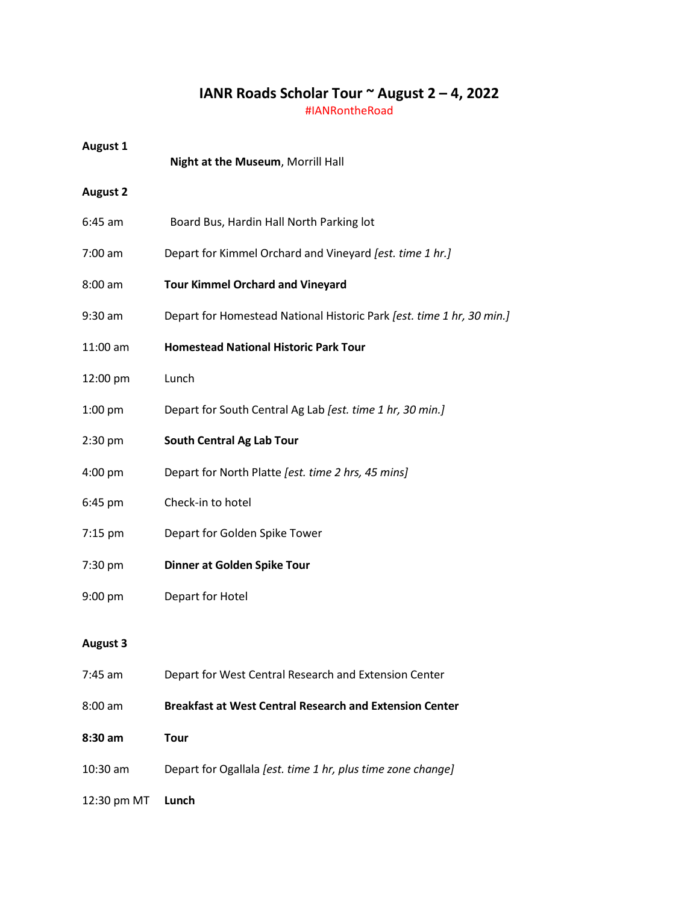## **IANR Roads Scholar Tour ~ August 2 – 4, 2022**

#IANRontheRoad

| <b>August 1</b> | Night at the Museum, Morrill Hall                                     |
|-----------------|-----------------------------------------------------------------------|
| <b>August 2</b> |                                                                       |
| $6:45$ am       | Board Bus, Hardin Hall North Parking lot                              |
| $7:00$ am       | Depart for Kimmel Orchard and Vineyard [est. time 1 hr.]              |
| $8:00$ am       | <b>Tour Kimmel Orchard and Vineyard</b>                               |
| 9:30 am         | Depart for Homestead National Historic Park [est. time 1 hr, 30 min.] |
| 11:00 am        | <b>Homestead National Historic Park Tour</b>                          |
| 12:00 pm        | Lunch                                                                 |
| $1:00$ pm       | Depart for South Central Ag Lab [est. time 1 hr, 30 min.]             |
| $2:30$ pm       | <b>South Central Ag Lab Tour</b>                                      |
| 4:00 pm         | Depart for North Platte [est. time 2 hrs, 45 mins]                    |
| 6:45 pm         | Check-in to hotel                                                     |
| 7:15 pm         | Depart for Golden Spike Tower                                         |
| 7:30 pm         | Dinner at Golden Spike Tour                                           |
| 9:00 pm         | Depart for Hotel                                                      |
| <b>August 3</b> |                                                                       |
| 7:45 am         | Depart for West Central Research and Extension Center                 |
| $8:00$ am       | <b>Breakfast at West Central Research and Extension Center</b>        |
| 8:30 am         | <b>Tour</b>                                                           |
| 10:30 am        | Depart for Ogallala [est. time 1 hr, plus time zone change]           |

12:30 pm MT **Lunch**